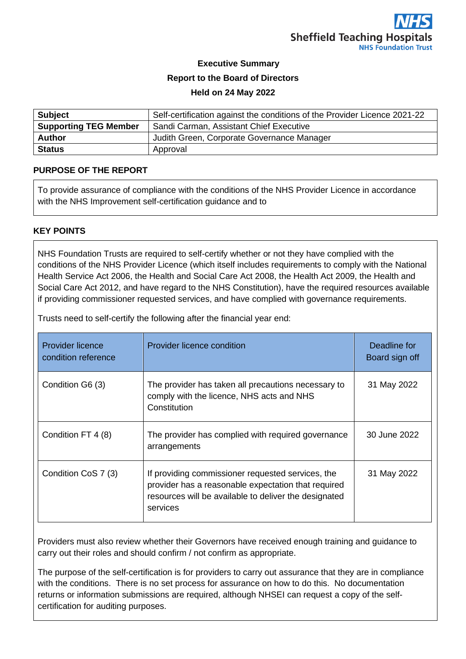

# **Executive Summary Report to the Board of Directors**

#### **Held on 24 May 2022**

| <b>Subject</b>               | Self-certification against the conditions of the Provider Licence 2021-22 |
|------------------------------|---------------------------------------------------------------------------|
| <b>Supporting TEG Member</b> | Sandi Carman, Assistant Chief Executive                                   |
| <b>Author</b>                | Judith Green, Corporate Governance Manager                                |
| <b>Status</b>                | Approval                                                                  |

### **PURPOSE OF THE REPORT**

To provide assurance of compliance with the conditions of the NHS Provider Licence in accordance with the NHS Improvement self-certification guidance and to

### **KEY POINTS**

NHS Foundation Trusts are required to self-certify whether or not they have complied with the conditions of the NHS Provider Licence (which itself includes requirements to comply with the National Health Service Act 2006, the Health and Social Care Act 2008, the Health Act 2009, the Health and Social Care Act 2012, and have regard to the NHS Constitution), have the required resources available if providing commissioner requested services, and have complied with governance requirements.

Trusts need to self-certify the following after the financial year end:

| <b>Provider licence</b><br>condition reference | Provider licence condition                                                                                                                                                    | Deadline for<br>Board sign off |
|------------------------------------------------|-------------------------------------------------------------------------------------------------------------------------------------------------------------------------------|--------------------------------|
| Condition G6 (3)                               | The provider has taken all precautions necessary to<br>comply with the licence, NHS acts and NHS<br>Constitution                                                              | 31 May 2022                    |
| Condition FT 4 (8)                             | The provider has complied with required governance<br>arrangements                                                                                                            | 30 June 2022                   |
| Condition CoS 7 (3)                            | If providing commissioner requested services, the<br>provider has a reasonable expectation that required<br>resources will be available to deliver the designated<br>services | 31 May 2022                    |

Providers must also review whether their Governors have received enough training and guidance to carry out their roles and should confirm / not confirm as appropriate.

The purpose of the self-certification is for providers to carry out assurance that they are in compliance with the conditions. There is no set process for assurance on how to do this. No documentation returns or information submissions are required, although NHSEI can request a copy of the selfcertification for auditing purposes.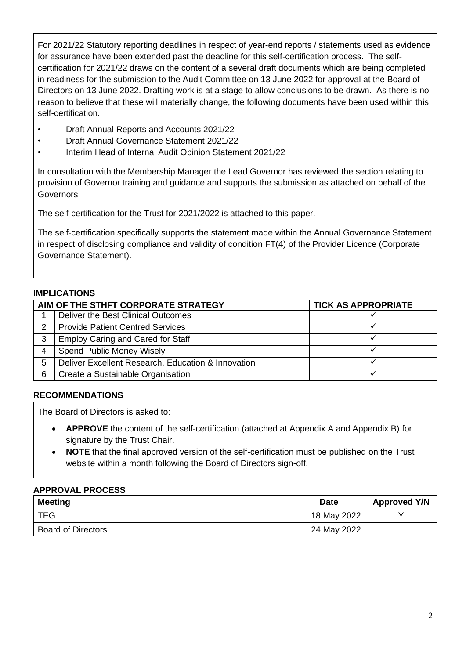For 2021/22 Statutory reporting deadlines in respect of year-end reports / statements used as evidence for assurance have been extended past the deadline for this self-certification process. The selfcertification for 2021/22 draws on the content of a several draft documents which are being completed in readiness for the submission to the Audit Committee on 13 June 2022 for approval at the Board of Directors on 13 June 2022. Drafting work is at a stage to allow conclusions to be drawn. As there is no reason to believe that these will materially change, the following documents have been used within this self-certification.

- Draft Annual Reports and Accounts 2021/22
- Draft Annual Governance Statement 2021/22
- Interim Head of Internal Audit Opinion Statement 2021/22

In consultation with the Membership Manager the Lead Governor has reviewed the section relating to provision of Governor training and guidance and supports the submission as attached on behalf of the Governors.

The self-certification for the Trust for 2021/2022 is attached to this paper.

The self-certification specifically supports the statement made within the Annual Governance Statement in respect of disclosing compliance and validity of condition FT(4) of the Provider Licence (Corporate Governance Statement).

### **IMPLICATIONS**

| AIM OF THE STHFT CORPORATE STRATEGY |                                                    | <b>TICK AS APPROPRIATE</b> |
|-------------------------------------|----------------------------------------------------|----------------------------|
|                                     | Deliver the Best Clinical Outcomes                 |                            |
| $\mathcal{D}$                       | <b>Provide Patient Centred Services</b>            |                            |
| 3                                   | <b>Employ Caring and Cared for Staff</b>           |                            |
| 4                                   | Spend Public Money Wisely                          |                            |
| 5                                   | Deliver Excellent Research, Education & Innovation |                            |
| 6                                   | Create a Sustainable Organisation                  |                            |

# **RECOMMENDATIONS**

The Board of Directors is asked to:

- **APPROVE** the content of the self-certification (attached at Appendix A and Appendix B) for signature by the Trust Chair.
- **NOTE** that the final approved version of the self-certification must be published on the Trust website within a month following the Board of Directors sign-off.

#### **APPROVAL PROCESS**

| <b>Meeting</b>            | <b>Date</b> | <b>Approved Y/N</b> |
|---------------------------|-------------|---------------------|
| <b>TEG</b>                | 18 May 2022 |                     |
| <b>Board of Directors</b> | 24 May 2022 |                     |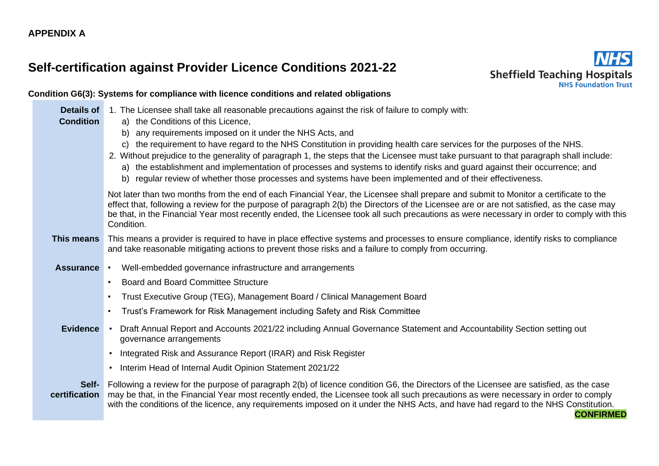# **Self-certification against Provider Licence Conditions 2021-22**



# **Condition G6(3): Systems for compliance with licence conditions and related obligations**

| <b>Details of</b><br><b>Condition</b> | 1. The Licensee shall take all reasonable precautions against the risk of failure to comply with:<br>a) the Conditions of this Licence,                                                                                                                                                                                                                                                                                                                                                                        |  |
|---------------------------------------|----------------------------------------------------------------------------------------------------------------------------------------------------------------------------------------------------------------------------------------------------------------------------------------------------------------------------------------------------------------------------------------------------------------------------------------------------------------------------------------------------------------|--|
|                                       | any requirements imposed on it under the NHS Acts, and<br>b)                                                                                                                                                                                                                                                                                                                                                                                                                                                   |  |
|                                       | c) the requirement to have regard to the NHS Constitution in providing health care services for the purposes of the NHS.<br>2. Without prejudice to the generality of paragraph 1, the steps that the Licensee must take pursuant to that paragraph shall include:<br>a) the establishment and implementation of processes and systems to identify risks and guard against their occurrence; and<br>b) regular review of whether those processes and systems have been implemented and of their effectiveness. |  |
|                                       | Not later than two months from the end of each Financial Year, the Licensee shall prepare and submit to Monitor a certificate to the<br>effect that, following a review for the purpose of paragraph 2(b) the Directors of the Licensee are or are not satisfied, as the case may<br>be that, in the Financial Year most recently ended, the Licensee took all such precautions as were necessary in order to comply with this<br>Condition.                                                                   |  |
| This means                            | This means a provider is required to have in place effective systems and processes to ensure compliance, identify risks to compliance<br>and take reasonable mitigating actions to prevent those risks and a failure to comply from occurring.                                                                                                                                                                                                                                                                 |  |
| <b>Assurance</b>                      | • Well-embedded governance infrastructure and arrangements                                                                                                                                                                                                                                                                                                                                                                                                                                                     |  |
|                                       | <b>Board and Board Committee Structure</b><br>$\bullet$                                                                                                                                                                                                                                                                                                                                                                                                                                                        |  |
|                                       | Trust Executive Group (TEG), Management Board / Clinical Management Board<br>$\bullet$                                                                                                                                                                                                                                                                                                                                                                                                                         |  |
|                                       | Trust's Framework for Risk Management including Safety and Risk Committee                                                                                                                                                                                                                                                                                                                                                                                                                                      |  |
| <b>Evidence</b>                       | Draft Annual Report and Accounts 2021/22 including Annual Governance Statement and Accountability Section setting out<br>governance arrangements                                                                                                                                                                                                                                                                                                                                                               |  |
|                                       | Integrated Risk and Assurance Report (IRAR) and Risk Register<br>$\bullet$                                                                                                                                                                                                                                                                                                                                                                                                                                     |  |
|                                       | Interim Head of Internal Audit Opinion Statement 2021/22<br>$\bullet$                                                                                                                                                                                                                                                                                                                                                                                                                                          |  |
| Self-<br>certification                | Following a review for the purpose of paragraph 2(b) of licence condition G6, the Directors of the Licensee are satisfied, as the case<br>may be that, in the Financial Year most recently ended, the Licensee took all such precautions as were necessary in order to comply<br>with the conditions of the licence, any requirements imposed on it under the NHS Acts, and have had regard to the NHS Constitution.<br><b>CONFIRMED</b>                                                                       |  |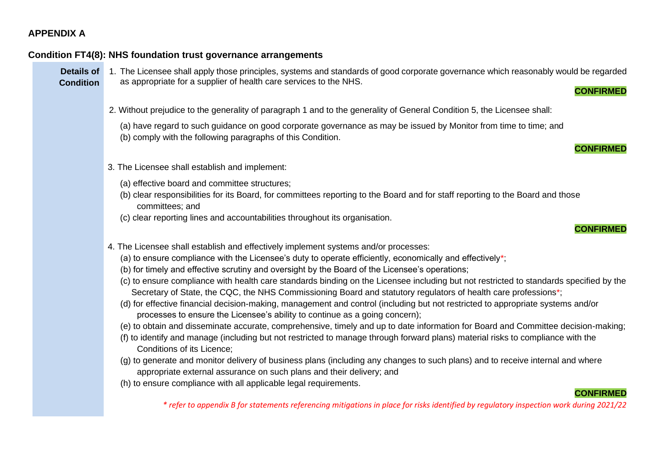#### **Condition FT4(8): NHS foundation trust governance arrangements**

**Condition**

**Details of**  1. The Licensee shall apply those principles, systems and standards of good corporate governance which reasonably would be regarded as appropriate for a supplier of health care services to the NHS.

2. Without prejudice to the generality of paragraph 1 and to the generality of General Condition 5, the Licensee shall:

(a) have regard to such guidance on good corporate governance as may be issued by Monitor from time to time; and (b) comply with the following paragraphs of this Condition.

**CONFIRMED**

**CONFIRMED**

- 3. The Licensee shall establish and implement:
	- (a) effective board and committee structures;
	- (b) clear responsibilities for its Board, for committees reporting to the Board and for staff reporting to the Board and those committees; and
	- (c) clear reporting lines and accountabilities throughout its organisation.



- 4. The Licensee shall establish and effectively implement systems and/or processes:
	- (a) to ensure compliance with the Licensee's duty to operate efficiently, economically and effectively\*;
	- (b) for timely and effective scrutiny and oversight by the Board of the Licensee's operations;
	- (c) to ensure compliance with health care standards binding on the Licensee including but not restricted to standards specified by the Secretary of State, the CQC, the NHS Commissioning Board and statutory regulators of health care professions\*;
	- (d) for effective financial decision-making, management and control (including but not restricted to appropriate systems and/or processes to ensure the Licensee's ability to continue as a going concern);
	- (e) to obtain and disseminate accurate, comprehensive, timely and up to date information for Board and Committee decision-making;
	- (f) to identify and manage (including but not restricted to manage through forward plans) material risks to compliance with the Conditions of its Licence;
	- (g) to generate and monitor delivery of business plans (including any changes to such plans) and to receive internal and where appropriate external assurance on such plans and their delivery; and
	- (h) to ensure compliance with all applicable legal requirements.

#### **CONFIRMED**

*\* refer to appendix B for statements referencing mitigations in place for risks identified by regulatory inspection work during 2021/22*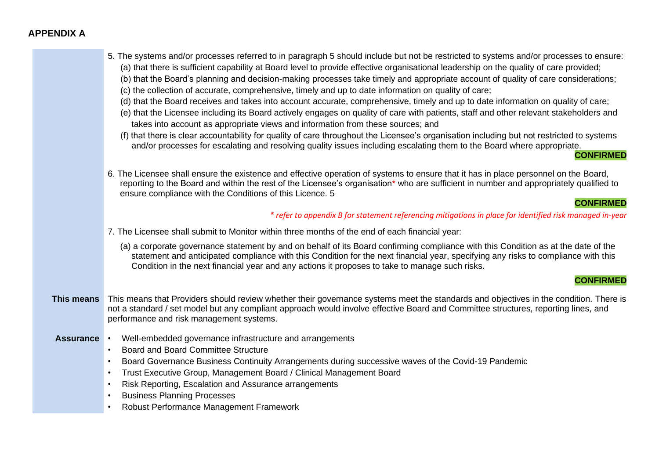|                  | 5. The systems and/or processes referred to in paragraph 5 should include but not be restricted to systems and/or processes to ensure:<br>(a) that there is sufficient capability at Board level to provide effective organisational leadership on the quality of care provided;<br>(b) that the Board's planning and decision-making processes take timely and appropriate account of quality of care considerations;<br>(c) the collection of accurate, comprehensive, timely and up to date information on quality of care;<br>(d) that the Board receives and takes into account accurate, comprehensive, timely and up to date information on quality of care;<br>(e) that the Licensee including its Board actively engages on quality of care with patients, staff and other relevant stakeholders and<br>takes into account as appropriate views and information from these sources; and<br>(f) that there is clear accountability for quality of care throughout the Licensee's organisation including but not restricted to systems<br>and/or processes for escalating and resolving quality issues including escalating them to the Board where appropriate.<br><b>CONFIRMED</b> |
|------------------|---------------------------------------------------------------------------------------------------------------------------------------------------------------------------------------------------------------------------------------------------------------------------------------------------------------------------------------------------------------------------------------------------------------------------------------------------------------------------------------------------------------------------------------------------------------------------------------------------------------------------------------------------------------------------------------------------------------------------------------------------------------------------------------------------------------------------------------------------------------------------------------------------------------------------------------------------------------------------------------------------------------------------------------------------------------------------------------------------------------------------------------------------------------------------------------------|
|                  | 6. The Licensee shall ensure the existence and effective operation of systems to ensure that it has in place personnel on the Board,<br>reporting to the Board and within the rest of the Licensee's organisation* who are sufficient in number and appropriately qualified to<br>ensure compliance with the Conditions of this Licence. 5                                                                                                                                                                                                                                                                                                                                                                                                                                                                                                                                                                                                                                                                                                                                                                                                                                                  |
|                  | <b>CONFIRMED</b><br>* refer to appendix B for statement referencing mitigations in place for identified risk managed in-year                                                                                                                                                                                                                                                                                                                                                                                                                                                                                                                                                                                                                                                                                                                                                                                                                                                                                                                                                                                                                                                                |
|                  | 7. The Licensee shall submit to Monitor within three months of the end of each financial year:                                                                                                                                                                                                                                                                                                                                                                                                                                                                                                                                                                                                                                                                                                                                                                                                                                                                                                                                                                                                                                                                                              |
|                  |                                                                                                                                                                                                                                                                                                                                                                                                                                                                                                                                                                                                                                                                                                                                                                                                                                                                                                                                                                                                                                                                                                                                                                                             |
|                  | (a) a corporate governance statement by and on behalf of its Board confirming compliance with this Condition as at the date of the<br>statement and anticipated compliance with this Condition for the next financial year, specifying any risks to compliance with this<br>Condition in the next financial year and any actions it proposes to take to manage such risks.                                                                                                                                                                                                                                                                                                                                                                                                                                                                                                                                                                                                                                                                                                                                                                                                                  |
|                  | <b>CONFIRMED</b>                                                                                                                                                                                                                                                                                                                                                                                                                                                                                                                                                                                                                                                                                                                                                                                                                                                                                                                                                                                                                                                                                                                                                                            |
| This means       | This means that Providers should review whether their governance systems meet the standards and objectives in the condition. There is<br>not a standard / set model but any compliant approach would involve effective Board and Committee structures, reporting lines, and<br>performance and risk management systems.                                                                                                                                                                                                                                                                                                                                                                                                                                                                                                                                                                                                                                                                                                                                                                                                                                                                     |
| <b>Assurance</b> | Well-embedded governance infrastructure and arrangements<br><b>Board and Board Committee Structure</b><br>$\bullet$<br>Board Governance Business Continuity Arrangements during successive waves of the Covid-19 Pandemic<br>$\bullet$<br>Trust Executive Group, Management Board / Clinical Management Board<br>$\bullet$<br>Risk Reporting, Escalation and Assurance arrangements<br>$\bullet$<br><b>Business Planning Processes</b><br>$\bullet$<br>Robust Performance Management Framework<br>$\bullet$                                                                                                                                                                                                                                                                                                                                                                                                                                                                                                                                                                                                                                                                                 |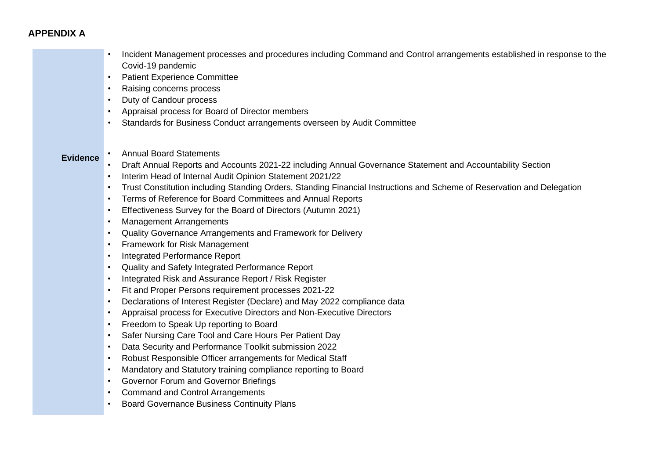• Incident Management processes and procedures including Command and Control arrangements established in response to the Covid-19 pandemic Patient Experience Committee

- Raising concerns process
- Duty of Candour process
- Appraisal process for Board of Director members
- Standards for Business Conduct arrangements overseen by Audit Committee
- **Evidence** Annual Board Statements
	- Draft Annual Reports and Accounts 2021-22 including Annual Governance Statement and Accountability Section
	- Interim Head of Internal Audit Opinion Statement 2021/22
	- Trust Constitution including Standing Orders, Standing Financial Instructions and Scheme of Reservation and Delegation
	- Terms of Reference for Board Committees and Annual Reports
	- Effectiveness Survey for the Board of Directors (Autumn 2021)
	- Management Arrangements
	- Quality Governance Arrangements and Framework for Delivery
	- Framework for Risk Management
	- Integrated Performance Report
	- Quality and Safety Integrated Performance Report
	- Integrated Risk and Assurance Report / Risk Register
	- Fit and Proper Persons requirement processes 2021-22
	- Declarations of Interest Register (Declare) and May 2022 compliance data
	- Appraisal process for Executive Directors and Non-Executive Directors
	- Freedom to Speak Up reporting to Board
	- Safer Nursing Care Tool and Care Hours Per Patient Day
	- Data Security and Performance Toolkit submission 2022
	- Robust Responsible Officer arrangements for Medical Staff
	- Mandatory and Statutory training compliance reporting to Board
	- Governor Forum and Governor Briefings
	- Command and Control Arrangements
	- Board Governance Business Continuity Plans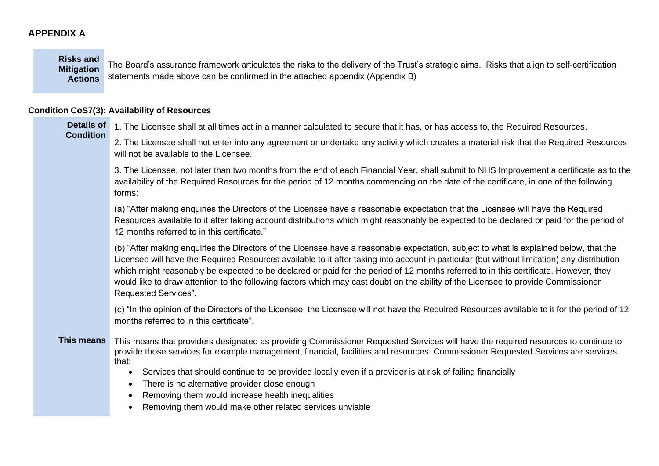**Risks and Mitigation** 

**Actions** statements made above can be confirmed in the attached appendix (Appendix B) The Board's assurance framework articulates the risks to the delivery of the Trust's strategic aims. Risks that align to self-certification

## **Condition CoS7(3): Availability of Resources**

| <b>Details of</b><br><b>Condition</b> | 1. The Licensee shall at all times act in a manner calculated to secure that it has, or has access to, the Required Resources.                                                                                                                                                                                                                                                                                                                                                                                                                                                            |
|---------------------------------------|-------------------------------------------------------------------------------------------------------------------------------------------------------------------------------------------------------------------------------------------------------------------------------------------------------------------------------------------------------------------------------------------------------------------------------------------------------------------------------------------------------------------------------------------------------------------------------------------|
|                                       | 2. The Licensee shall not enter into any agreement or undertake any activity which creates a material risk that the Required Resources<br>will not be available to the Licensee.                                                                                                                                                                                                                                                                                                                                                                                                          |
|                                       | 3. The Licensee, not later than two months from the end of each Financial Year, shall submit to NHS Improvement a certificate as to the<br>availability of the Required Resources for the period of 12 months commencing on the date of the certificate, in one of the following<br>forms:                                                                                                                                                                                                                                                                                                |
|                                       | (a) "After making enquiries the Directors of the Licensee have a reasonable expectation that the Licensee will have the Required<br>Resources available to it after taking account distributions which might reasonably be expected to be declared or paid for the period of<br>12 months referred to in this certificate."                                                                                                                                                                                                                                                               |
|                                       | (b) "After making enquiries the Directors of the Licensee have a reasonable expectation, subject to what is explained below, that the<br>Licensee will have the Required Resources available to it after taking into account in particular (but without limitation) any distribution<br>which might reasonably be expected to be declared or paid for the period of 12 months referred to in this certificate. However, they<br>would like to draw attention to the following factors which may cast doubt on the ability of the Licensee to provide Commissioner<br>Requested Services". |
|                                       | (c) "In the opinion of the Directors of the Licensee, the Licensee will not have the Required Resources available to it for the period of 12<br>months referred to in this certificate".                                                                                                                                                                                                                                                                                                                                                                                                  |
| <b>This means</b>                     | This means that providers designated as providing Commissioner Requested Services will have the required resources to continue to<br>provide those services for example management, financial, facilities and resources. Commissioner Requested Services are services<br>that:                                                                                                                                                                                                                                                                                                            |
|                                       | Services that should continue to be provided locally even if a provider is at risk of failing financially<br>$\bullet$                                                                                                                                                                                                                                                                                                                                                                                                                                                                    |
|                                       | There is no alternative provider close enough<br>$\bullet$<br>Removing them would increase health inequalities                                                                                                                                                                                                                                                                                                                                                                                                                                                                            |
|                                       | Removing them would make other related services unviable                                                                                                                                                                                                                                                                                                                                                                                                                                                                                                                                  |
|                                       |                                                                                                                                                                                                                                                                                                                                                                                                                                                                                                                                                                                           |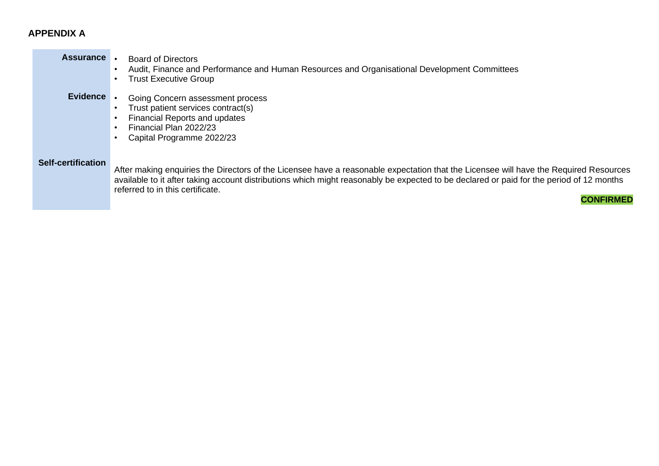# **Assurance** • Board of Directors

- Audit, Finance and Performance and Human Resources and Organisational Development Committees
- Trust Executive Group
- **Evidence** Going Concern assessment process
	- Trust patient services contract(s)
	- Financial Reports and updates
	- Financial Plan 2022/23
	- Capital Programme 2022/23

#### **Self-certification**

After making enquiries the Directors of the Licensee have a reasonable expectation that the Licensee will have the Required Resources available to it after taking account distributions which might reasonably be expected to be declared or paid for the period of 12 months referred to in this certificate.

**CONFIRMED**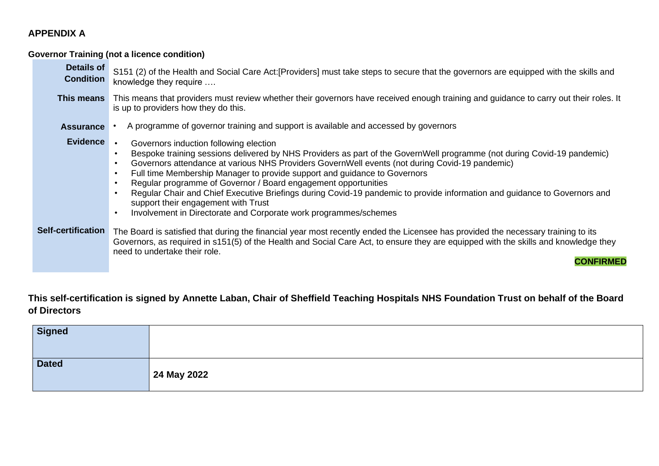**Governor Training (not a licence condition)**

| <b>Details of</b><br><b>Condition</b> | S151 (2) of the Health and Social Care Act: [Providers] must take steps to secure that the governors are equipped with the skills and<br>knowledge they require                                                                                                                                                                                                                                                                                                                                                                                                                                                                                            |
|---------------------------------------|------------------------------------------------------------------------------------------------------------------------------------------------------------------------------------------------------------------------------------------------------------------------------------------------------------------------------------------------------------------------------------------------------------------------------------------------------------------------------------------------------------------------------------------------------------------------------------------------------------------------------------------------------------|
| This means                            | This means that providers must review whether their governors have received enough training and guidance to carry out their roles. It<br>is up to providers how they do this.                                                                                                                                                                                                                                                                                                                                                                                                                                                                              |
| <b>Assurance</b>                      | A programme of governor training and support is available and accessed by governors                                                                                                                                                                                                                                                                                                                                                                                                                                                                                                                                                                        |
| <b>Evidence</b>                       | Governors induction following election<br>Bespoke training sessions delivered by NHS Providers as part of the GovernWell programme (not during Covid-19 pandemic)<br>Governors attendance at various NHS Providers GovernWell events (not during Covid-19 pandemic)<br>Full time Membership Manager to provide support and guidance to Governors<br>Regular programme of Governor / Board engagement opportunities<br>Regular Chair and Chief Executive Briefings during Covid-19 pandemic to provide information and guidance to Governors and<br>support their engagement with Trust<br>Involvement in Directorate and Corporate work programmes/schemes |
| <b>Self-certification</b>             | The Board is satisfied that during the financial year most recently ended the Licensee has provided the necessary training to its<br>Governors, as required in s151(5) of the Health and Social Care Act, to ensure they are equipped with the skills and knowledge they<br>need to undertake their role.<br>CONFIRMED                                                                                                                                                                                                                                                                                                                                     |

**This self-certification is signed by Annette Laban, Chair of Sheffield Teaching Hospitals NHS Foundation Trust on behalf of the Board of Directors**

| <b>Signed</b> |             |
|---------------|-------------|
| <b>Dated</b>  | 24 May 2022 |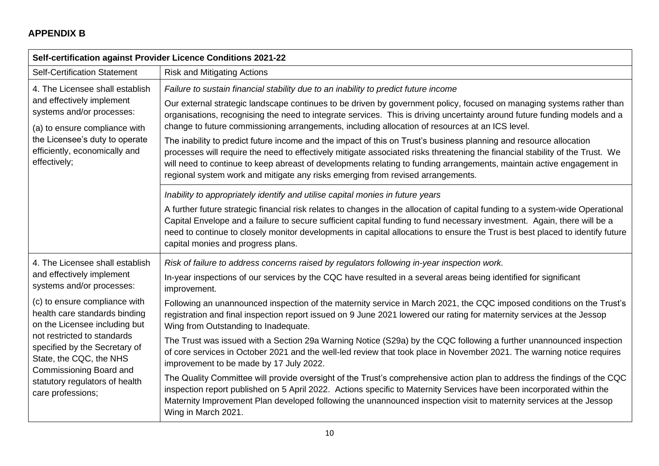# **APPENDIX B**

| Self-certification against Provider Licence Conditions 2021-22                                                                                                                                                              |                                                                                                                                                                                                                                                                                                                                                                                                                                                                                                                                                                                                                                                                                                                                                                                                                                                                                                                 |  |
|-----------------------------------------------------------------------------------------------------------------------------------------------------------------------------------------------------------------------------|-----------------------------------------------------------------------------------------------------------------------------------------------------------------------------------------------------------------------------------------------------------------------------------------------------------------------------------------------------------------------------------------------------------------------------------------------------------------------------------------------------------------------------------------------------------------------------------------------------------------------------------------------------------------------------------------------------------------------------------------------------------------------------------------------------------------------------------------------------------------------------------------------------------------|--|
| <b>Self-Certification Statement</b>                                                                                                                                                                                         | <b>Risk and Mitigating Actions</b>                                                                                                                                                                                                                                                                                                                                                                                                                                                                                                                                                                                                                                                                                                                                                                                                                                                                              |  |
| 4. The Licensee shall establish<br>and effectively implement<br>systems and/or processes:<br>(a) to ensure compliance with<br>the Licensee's duty to operate<br>efficiently, economically and<br>effectively;               | Failure to sustain financial stability due to an inability to predict future income<br>Our external strategic landscape continues to be driven by government policy, focused on managing systems rather than<br>organisations, recognising the need to integrate services. This is driving uncertainty around future funding models and a<br>change to future commissioning arrangements, including allocation of resources at an ICS level.<br>The inability to predict future income and the impact of this on Trust's business planning and resource allocation<br>processes will require the need to effectively mitigate associated risks threatening the financial stability of the Trust. We<br>will need to continue to keep abreast of developments relating to funding arrangements, maintain active engagement in<br>regional system work and mitigate any risks emerging from revised arrangements. |  |
|                                                                                                                                                                                                                             | Inability to appropriately identify and utilise capital monies in future years<br>A further future strategic financial risk relates to changes in the allocation of capital funding to a system-wide Operational<br>Capital Envelope and a failure to secure sufficient capital funding to fund necessary investment. Again, there will be a<br>need to continue to closely monitor developments in capital allocations to ensure the Trust is best placed to identify future<br>capital monies and progress plans.                                                                                                                                                                                                                                                                                                                                                                                             |  |
| 4. The Licensee shall establish<br>and effectively implement<br>systems and/or processes:<br>(c) to ensure compliance with<br>health care standards binding<br>on the Licensee including but<br>not restricted to standards | Risk of failure to address concerns raised by regulators following in-year inspection work.<br>In-year inspections of our services by the CQC have resulted in a several areas being identified for significant<br>improvement.<br>Following an unannounced inspection of the maternity service in March 2021, the CQC imposed conditions on the Trust's<br>registration and final inspection report issued on 9 June 2021 lowered our rating for maternity services at the Jessop<br>Wing from Outstanding to Inadequate.<br>The Trust was issued with a Section 29a Warning Notice (S29a) by the CQC following a further unannounced inspection                                                                                                                                                                                                                                                               |  |
| specified by the Secretary of<br>State, the CQC, the NHS<br>Commissioning Board and<br>statutory regulators of health<br>care professions;                                                                                  | of core services in October 2021 and the well-led review that took place in November 2021. The warning notice requires<br>improvement to be made by 17 July 2022.<br>The Quality Committee will provide oversight of the Trust's comprehensive action plan to address the findings of the CQC<br>inspection report published on 5 April 2022. Actions specific to Maternity Services have been incorporated within the<br>Maternity Improvement Plan developed following the unannounced inspection visit to maternity services at the Jessop<br>Wing in March 2021.                                                                                                                                                                                                                                                                                                                                            |  |